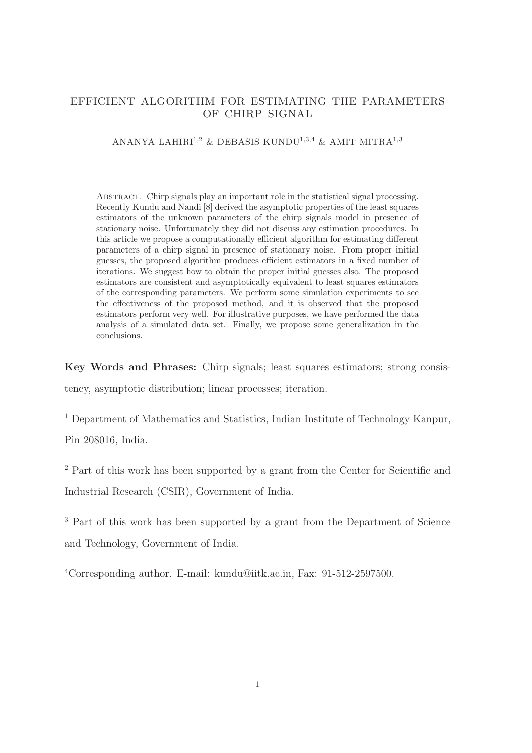# EFFICIENT ALGORITHM FOR ESTIMATING THE PARAMETERS OF CHIRP SIGNAL

## ANANYA LAHIRI<sup>1,2</sup> & DEBASIS KUNDU<sup>1,3,4</sup> & AMIT MITRA<sup>1,3</sup>

Abstract. Chirp signals play an important role in the statistical signal processing. Recently Kundu and Nandi [8] derived the asymptotic properties of the least squares estimators of the unknown parameters of the chirp signals model in presence of stationary noise. Unfortunately they did not discuss any estimation procedures. In this article we propose a computationally efficient algorithm for estimating different parameters of a chirp signal in presence of stationary noise. From proper initial guesses, the proposed algorithm produces efficient estimators in a fixed number of iterations. We suggest how to obtain the proper initial guesses also. The proposed estimators are consistent and asymptotically equivalent to least squares estimators of the corresponding parameters. We perform some simulation experiments to see the effectiveness of the proposed method, and it is observed that the proposed estimators perform very well. For illustrative purposes, we have performed the data analysis of a simulated data set. Finally, we propose some generalization in the conclusions.

Key Words and Phrases: Chirp signals; least squares estimators; strong consis-

tency, asymptotic distribution; linear processes; iteration.

<sup>1</sup> Department of Mathematics and Statistics, Indian Institute of Technology Kanpur, Pin 208016, India.

<sup>2</sup> Part of this work has been supported by a grant from the Center for Scientific and Industrial Research (CSIR), Government of India.

<sup>3</sup> Part of this work has been supported by a grant from the Department of Science and Technology, Government of India.

<sup>4</sup>Corresponding author. E-mail: kundu@iitk.ac.in, Fax: 91-512-2597500.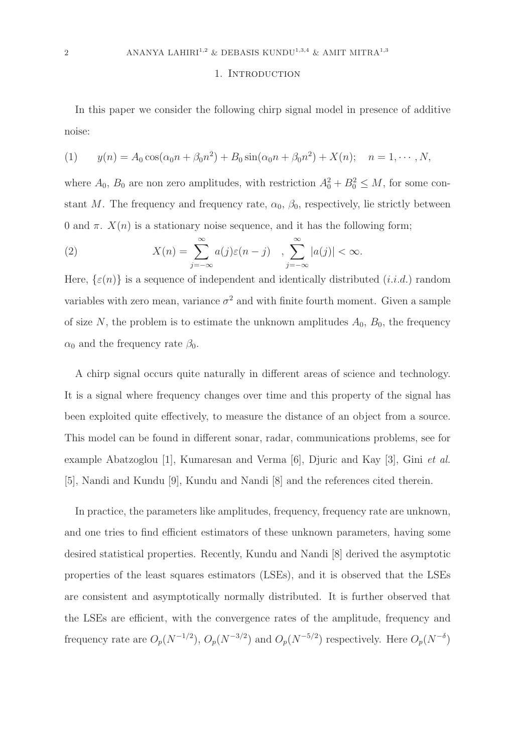### 1. INTRODUCTION

In this paper we consider the following chirp signal model in presence of additive noise:

(1) 
$$
y(n) = A_0 \cos(\alpha_0 n + \beta_0 n^2) + B_0 \sin(\alpha_0 n + \beta_0 n^2) + X(n); \quad n = 1, \cdots, N,
$$

where  $A_0$ ,  $B_0$  are non zero amplitudes, with restriction  $A_0^2 + B_0^2 \leq M$ , for some constant M. The frequency and frequency rate,  $\alpha_0$ ,  $\beta_0$ , respectively, lie strictly between 0 and  $\pi$ .  $X(n)$  is a stationary noise sequence, and it has the following form;

(2) 
$$
X(n) = \sum_{j=-\infty}^{\infty} a(j)\varepsilon(n-j) , \sum_{j=-\infty}^{\infty} |a(j)| < \infty.
$$

Here,  $\{\varepsilon(n)\}\$ is a sequence of independent and identically distributed  $(i.i.d.)$  random variables with zero mean, variance  $\sigma^2$  and with finite fourth moment. Given a sample of size N, the problem is to estimate the unknown amplitudes  $A_0$ ,  $B_0$ , the frequency  $\alpha_0$  and the frequency rate  $\beta_0$ .

A chirp signal occurs quite naturally in different areas of science and technology. It is a signal where frequency changes over time and this property of the signal has been exploited quite effectively, to measure the distance of an object from a source. This model can be found in different sonar, radar, communications problems, see for example Abatzoglou [1], Kumaresan and Verma [6], Djuric and Kay [3], Gini et al. [5], Nandi and Kundu [9], Kundu and Nandi [8] and the references cited therein.

In practice, the parameters like amplitudes, frequency, frequency rate are unknown, and one tries to find efficient estimators of these unknown parameters, having some desired statistical properties. Recently, Kundu and Nandi [8] derived the asymptotic properties of the least squares estimators (LSEs), and it is observed that the LSEs are consistent and asymptotically normally distributed. It is further observed that the LSEs are efficient, with the convergence rates of the amplitude, frequency and frequency rate are  $O_p(N^{-1/2})$ ,  $O_p(N^{-3/2})$  and  $O_p(N^{-5/2})$  respectively. Here  $O_p(N^{-\delta})$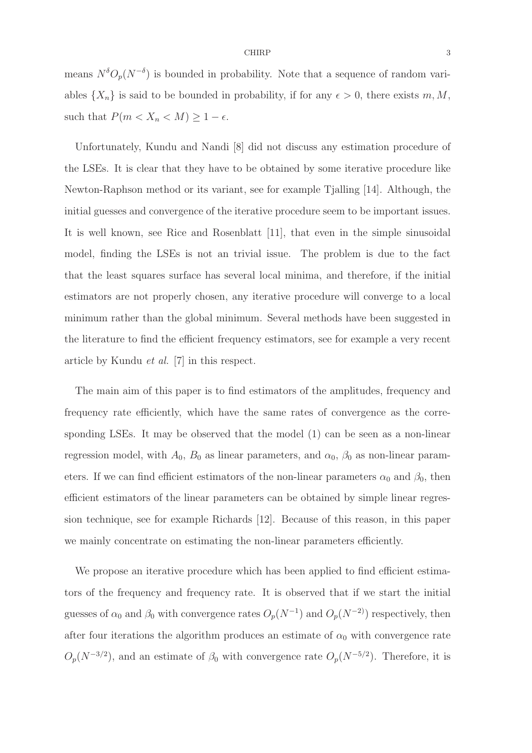means  $N^{\delta}O_p(N^{-\delta})$  is bounded in probability. Note that a sequence of random variables  $\{X_n\}$  is said to be bounded in probability, if for any  $\epsilon > 0$ , there exists m, M, such that  $P(m < X_n < M) \geq 1 - \epsilon$ .

Unfortunately, Kundu and Nandi [8] did not discuss any estimation procedure of the LSEs. It is clear that they have to be obtained by some iterative procedure like Newton-Raphson method or its variant, see for example Tjalling [14]. Although, the initial guesses and convergence of the iterative procedure seem to be important issues. It is well known, see Rice and Rosenblatt [11], that even in the simple sinusoidal model, finding the LSEs is not an trivial issue. The problem is due to the fact that the least squares surface has several local minima, and therefore, if the initial estimators are not properly chosen, any iterative procedure will converge to a local minimum rather than the global minimum. Several methods have been suggested in the literature to find the efficient frequency estimators, see for example a very recent article by Kundu et al. [7] in this respect.

The main aim of this paper is to find estimators of the amplitudes, frequency and frequency rate efficiently, which have the same rates of convergence as the corresponding LSEs. It may be observed that the model (1) can be seen as a non-linear regression model, with  $A_0$ ,  $B_0$  as linear parameters, and  $\alpha_0$ ,  $\beta_0$  as non-linear parameters. If we can find efficient estimators of the non-linear parameters  $\alpha_0$  and  $\beta_0$ , then efficient estimators of the linear parameters can be obtained by simple linear regression technique, see for example Richards [12]. Because of this reason, in this paper we mainly concentrate on estimating the non-linear parameters efficiently.

We propose an iterative procedure which has been applied to find efficient estimators of the frequency and frequency rate. It is observed that if we start the initial guesses of  $\alpha_0$  and  $\beta_0$  with convergence rates  $O_p(N^{-1})$  and  $O_p(N^{-2})$  respectively, then after four iterations the algorithm produces an estimate of  $\alpha_0$  with convergence rate  $O_p(N^{-3/2})$ , and an estimate of  $\beta_0$  with convergence rate  $O_p(N^{-5/2})$ . Therefore, it is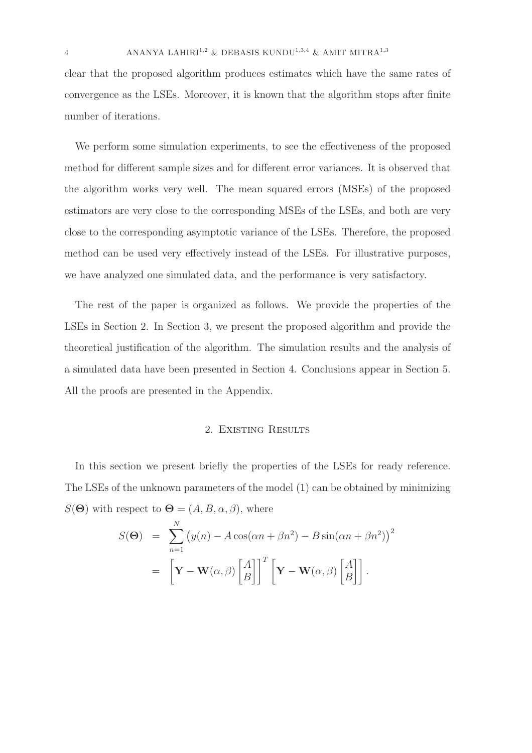clear that the proposed algorithm produces estimates which have the same rates of convergence as the LSEs. Moreover, it is known that the algorithm stops after finite number of iterations.

We perform some simulation experiments, to see the effectiveness of the proposed method for different sample sizes and for different error variances. It is observed that the algorithm works very well. The mean squared errors (MSEs) of the proposed estimators are very close to the corresponding MSEs of the LSEs, and both are very close to the corresponding asymptotic variance of the LSEs. Therefore, the proposed method can be used very effectively instead of the LSEs. For illustrative purposes, we have analyzed one simulated data, and the performance is very satisfactory.

The rest of the paper is organized as follows. We provide the properties of the LSEs in Section 2. In Section 3, we present the proposed algorithm and provide the theoretical justification of the algorithm. The simulation results and the analysis of a simulated data have been presented in Section 4. Conclusions appear in Section 5. All the proofs are presented in the Appendix.

### 2. Existing Results

In this section we present briefly the properties of the LSEs for ready reference. The LSEs of the unknown parameters of the model (1) can be obtained by minimizing  $S(\Theta)$  with respect to  $\Theta = (A, B, \alpha, \beta)$ , where

$$
S(\Theta) = \sum_{n=1}^{N} (y(n) - A\cos(\alpha n + \beta n^2) - B\sin(\alpha n + \beta n^2))^2
$$

$$
= \left[\mathbf{Y} - \mathbf{W}(\alpha, \beta)\begin{bmatrix} A \\ B \end{bmatrix}\right]^T \left[\mathbf{Y} - \mathbf{W}(\alpha, \beta)\begin{bmatrix} A \\ B \end{bmatrix}\right].
$$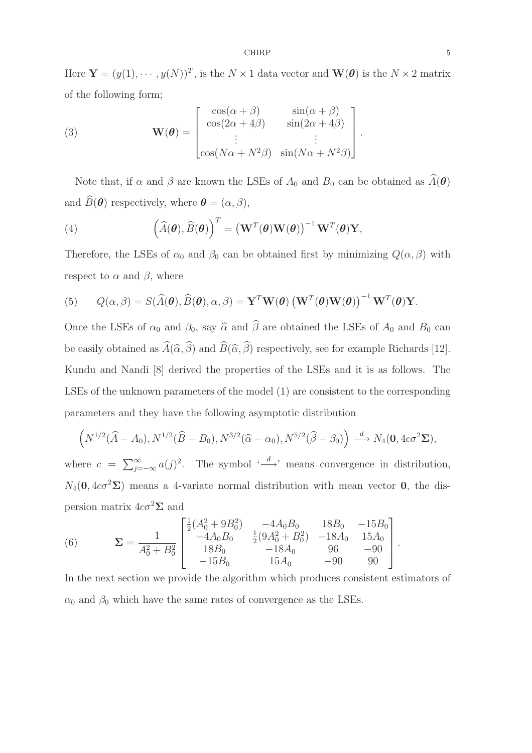CHIRP 5

Here  $\mathbf{Y} = (y(1), \dots, y(N))^T$ , is the  $N \times 1$  data vector and  $\mathbf{W}(\boldsymbol{\theta})$  is the  $N \times 2$  matrix of the following form;

(3) 
$$
\mathbf{W}(\boldsymbol{\theta}) = \begin{bmatrix} \cos(\alpha + \beta) & \sin(\alpha + \beta) \\ \cos(2\alpha + 4\beta) & \sin(2\alpha + 4\beta) \\ \vdots & \vdots \\ \cos(N\alpha + N^2\beta) & \sin(N\alpha + N^2\beta) \end{bmatrix}
$$

Note that, if  $\alpha$  and  $\beta$  are known the LSEs of  $A_0$  and  $B_0$  can be obtained as  $\widehat{A}(\boldsymbol{\theta})$ and  $\widehat{B}(\boldsymbol{\theta})$  respectively, where  $\boldsymbol{\theta} = (\alpha, \beta),$ 

(4) 
$$
\left(\widehat{A}(\boldsymbol{\theta}), \widehat{B}(\boldsymbol{\theta})\right)^T = \left(\mathbf{W}^T(\boldsymbol{\theta})\mathbf{W}(\boldsymbol{\theta})\right)^{-1}\mathbf{W}^T(\boldsymbol{\theta})\mathbf{Y},
$$

Therefore, the LSEs of  $\alpha_0$  and  $\beta_0$  can be obtained first by minimizing  $Q(\alpha, \beta)$  with respect to  $\alpha$  and  $\beta$ , where

(5) 
$$
Q(\alpha, \beta) = S(\widehat{A}(\boldsymbol{\theta}), \widehat{B}(\boldsymbol{\theta}), \alpha, \beta) = \mathbf{Y}^T \mathbf{W}(\boldsymbol{\theta}) (\mathbf{W}^T(\boldsymbol{\theta}) \mathbf{W}(\boldsymbol{\theta}))^{-1} \mathbf{W}^T(\boldsymbol{\theta}) \mathbf{Y}.
$$

Once the LSEs of  $\alpha_0$  and  $\beta_0$ , say  $\widehat{\alpha}$  and  $\widehat{\beta}$  are obtained the LSEs of  $A_0$  and  $B_0$  can be easily obtained as  $\widehat{A}(\widehat{\alpha}, \widehat{\beta})$  and  $\widehat{B}(\widehat{\alpha}, \widehat{\beta})$  respectively, see for example Richards [12]. Kundu and Nandi [8] derived the properties of the LSEs and it is as follows. The LSEs of the unknown parameters of the model (1) are consistent to the corresponding parameters and they have the following asymptotic distribution

$$
\left(N^{1/2}(\widehat{A}-A_0), N^{1/2}(\widehat{B}-B_0), N^{3/2}(\widehat{\alpha}-\alpha_0), N^{5/2}(\widehat{\beta}-\beta_0)\right) \stackrel{d}{\longrightarrow} N_4(\mathbf{0}, 4c\sigma^2\Sigma),
$$

where  $c = \sum_{j=-\infty}^{\infty} a(j)^2$ . The symbol ' $\stackrel{d}{\longrightarrow}$ ' means convergence in distribution,  $N_4(\mathbf{0}, 4c\sigma^2\Sigma)$  means a 4-variate normal distribution with mean vector **0**, the dispersion matrix  $4c\sigma^2\Sigma$  and

(6) 
$$
\Sigma = \frac{1}{A_0^2 + B_0^2} \begin{bmatrix} \frac{1}{2}(A_0^2 + 9B_0^2) & -4A_0B_0 & 18B_0 & -15B_0 \\ -4A_0B_0 & \frac{1}{2}(9A_0^2 + B_0^2) & -18A_0 & 15A_0 \\ 18B_0 & -18A_0 & 96 & -90 \\ -15B_0 & 15A_0 & -90 & 90 \end{bmatrix}.
$$

In the next section we provide the algorithm which produces consistent estimators of  $\alpha_0$  and  $\beta_0$  which have the same rates of convergence as the LSEs.

.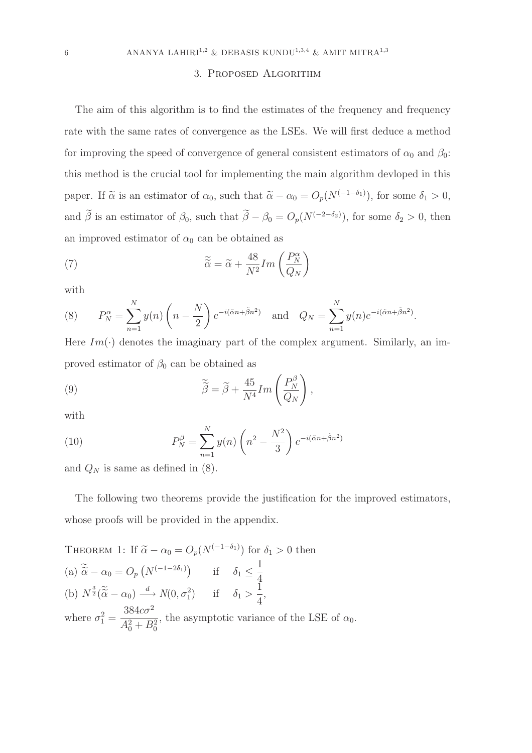# 3. Proposed Algorithm

The aim of this algorithm is to find the estimates of the frequency and frequency rate with the same rates of convergence as the LSEs. We will first deduce a method for improving the speed of convergence of general consistent estimators of  $\alpha_0$  and  $\beta_0$ : this method is the crucial tool for implementing the main algorithm devloped in this paper. If  $\tilde{\alpha}$  is an estimator of  $\alpha_0$ , such that  $\tilde{\alpha} - \alpha_0 = O_p(N^{(-1-\delta_1)})$ , for some  $\delta_1 > 0$ , and  $\beta$  is an estimator of  $\beta_0$ , such that  $\beta - \beta_0 = O_p(N^{(-2-\delta_2)})$ , for some  $\delta_2 > 0$ , then an improved estimator of  $\alpha_0$  can be obtained as

(7) 
$$
\widetilde{\widetilde{\alpha}} = \widetilde{\alpha} + \frac{48}{N^2} Im\left(\frac{P_N^{\alpha}}{Q_N}\right)
$$

with

(8) 
$$
P_N^{\alpha} = \sum_{n=1}^N y(n) \left( n - \frac{N}{2} \right) e^{-i(\tilde{\alpha}n + \tilde{\beta}n^2)} \text{ and } Q_N = \sum_{n=1}^N y(n) e^{-i(\tilde{\alpha}n + \tilde{\beta}n^2)}.
$$

Here  $Im(\cdot)$  denotes the imaginary part of the complex argument. Similarly, an improved estimator of  $\beta_0$  can be obtained as

(9) 
$$
\widetilde{\widetilde{\beta}} = \widetilde{\beta} + \frac{45}{N^4} Im\left(\frac{P_N^{\beta}}{Q_N}\right),
$$

with

(10) 
$$
P_N^{\beta} = \sum_{n=1}^N y(n) \left( n^2 - \frac{N^2}{3} \right) e^{-i(\tilde{\alpha}n + \tilde{\beta}n^2)}
$$

and  $Q_N$  is same as defined in (8).

The following two theorems provide the justification for the improved estimators, whose proofs will be provided in the appendix.

THEOREM 1: If 
$$
\tilde{\alpha} - \alpha_0 = O_p(N^{(-1-\delta_1)})
$$
 for  $\delta_1 > 0$  then  
\n(a)  $\tilde{\tilde{\alpha}} - \alpha_0 = O_p(N^{(-1-2\delta_1)})$  if  $\delta_1 \le \frac{1}{4}$   
\n(b)  $N^{\frac{3}{2}}(\tilde{\tilde{\alpha}} - \alpha_0) \xrightarrow{d} N(0, \sigma_1^2)$  if  $\delta_1 > \frac{1}{4}$ ,  
\nwhere  $\sigma_1^2 = \frac{384c\sigma^2}{A_0^2 + B_0^2}$ , the asymptotic variance of the LSE of  $\alpha_0$ .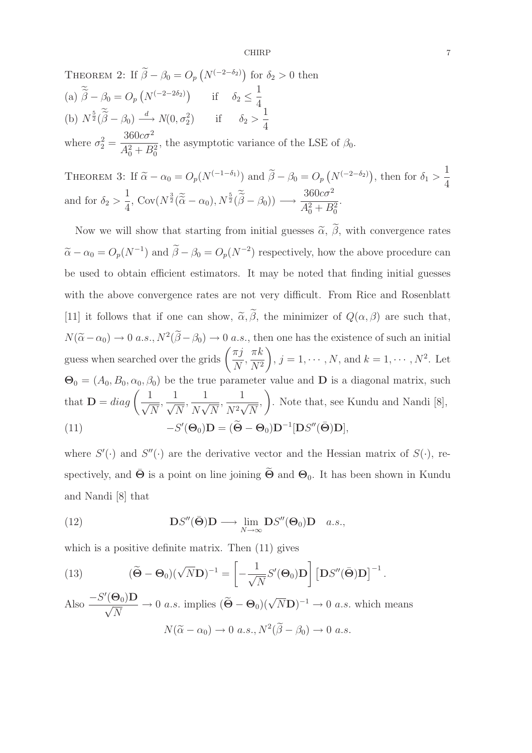CHIRP 7

THEOREM 2: If  $\tilde{\beta} - \beta_0 = O_p(N^{(-2-\delta_2)})$  for  $\delta_2 > 0$  then (a)  $\widetilde{\widetilde{\beta}} - \beta_0 = O_p(N^{(-2-2\delta_2)})$  if  $\delta_2 \le \frac{1}{4}$ 4 (b)  $N^{\frac{5}{2}}(\widetilde{\widetilde{\beta}} - \beta_0) \stackrel{d}{\longrightarrow} N(0, \sigma_2^2)$  if  $\delta_2 > \frac{1}{4}$ 4 where  $\sigma_2^2 =$  $360c\sigma^2$  $A_0^2 + B_0^2$ , the asymptotic variance of the LSE of  $\beta_0$ .

THEOREM 3: If  $\widetilde{\alpha} - \alpha_0 = O_p(N^{(-1-\delta_1)})$  and  $\widetilde{\beta} - \beta_0 = O_p(N^{(-2-\delta_2)})$ , then for  $\delta_1 > \frac{1}{4}$ 4 and for  $\delta_2 > \frac{1}{4}$ 4  $\overline{\text{Cov}(N^{\frac{3}{2}}(\widetilde{\alpha}-\alpha_0), N^{\frac{5}{2}}(\widetilde{\beta}-\beta_0)) \longrightarrow}$  $360c\sigma^2$  $A_0^2 + B_0^2$ .

Now we will show that starting from initial guesses  $\tilde{\alpha}$ ,  $\tilde{\beta}$ , with convergence rates  $\tilde{\alpha} - \alpha_0 = O_p(N^{-1})$  and  $\tilde{\beta} - \beta_0 = O_p(N^{-2})$  respectively, how the above procedure can be used to obtain efficient estimators. It may be noted that finding initial guesses with the above convergence rates are not very difficult. From Rice and Rosenblatt [11] it follows that if one can show,  $\tilde{\alpha}, \tilde{\beta}$ , the minimizer of  $Q(\alpha, \beta)$  are such that,  $N(\tilde{\alpha}-\alpha_0) \to 0$  a.s.,  $N^2(\beta-\beta_0) \to 0$  a.s., then one has the existence of such an initial guess when searched over the grids  $\left(\frac{\pi j}{N}\right)$ N ,  $\pi k$  $N^2$  $\setminus$ ,  $j = 1, \dots, N$ , and  $k = 1, \dots, N^2$ . Let  $\mathbf{\Theta}_0 = (A_0, B_0, \alpha_0, \beta_0)$  be the true parameter value and **D** is a diagonal matrix, such that  $\mathbf{D} = diag\left(-\frac{1}{\epsilon}\right)$  $\sqrt{N}$  $\frac{1}{\sqrt{2}}$  $\sqrt{N}$  $\frac{1}{\sqrt{1-\frac{1}{\sqrt{1-\frac{1}{\sqrt{1-\frac{1}{\sqrt{1-\frac{1}{\sqrt{1-\frac{1}{\sqrt{1-\frac{1}{\sqrt{1-\frac{1}{\sqrt{1-\frac{1}{\sqrt{1-\frac{1}{\sqrt{1-\frac{1}{\sqrt{1-\frac{1}{\sqrt{1-\frac{1}{\sqrt{1-\frac{1}{\sqrt{1-\frac{1}{\sqrt{1-\frac{1}{\sqrt{1-\frac{1}{\sqrt{1-\frac{1}{\sqrt{1-\frac{1}{\sqrt{1+\frac{1}{\sqrt{1+\frac{1}{\sqrt{1+\frac{1}{\sqrt{1+\frac{1}{\sqrt{1+\frac{1}{\sqrt{1+\frac{1$  $\overline{N\sqrt{N}}$  $\frac{1}{\sqrt{1+\epsilon}}$  $\overline{N^2\sqrt{N}}$ ,  $\setminus$ . Note that, see Kundu and Nandi [8],  $(11)$  $'(\Theta_0)\mathbf{D} = (\widetilde{\Theta} - \Theta_0)\mathbf{D}^{-1}[\mathbf{D}S''(\bar{\Theta})\mathbf{D}],$ 

where  $S'(\cdot)$  and  $S''(\cdot)$  are the derivative vector and the Hessian matrix of  $S(\cdot)$ , respectively, and  $\bar{\Theta}$  is a point on line joining  $\tilde{\Theta}$  and  $\Theta_0$ . It has been shown in Kundu and Nandi [8] that

(12) 
$$
\mathbf{D}S''(\bar{\mathbf{\Theta}})\mathbf{D} \longrightarrow \lim_{N \to \infty} \mathbf{D}S''(\mathbf{\Theta}_0)\mathbf{D} \quad a.s.,
$$

which is a positive definite matrix. Then (11) gives

(13) 
$$
(\widetilde{\Theta} - \Theta_0)(\sqrt{N}\mathbf{D})^{-1} = \left[ -\frac{1}{\sqrt{N}} S'(\Theta_0) \mathbf{D} \right] \left[ \mathbf{D} S''(\bar{\Theta}) \mathbf{D} \right]^{-1}.
$$

Also 
$$
\frac{-S'(\Theta_0)\mathbf{D}}{\sqrt{N}} \to 0
$$
 a.s. implies  $(\widetilde{\Theta} - \Theta_0)(\sqrt{N}\mathbf{D})^{-1} \to 0$  a.s. which means  

$$
N(\widetilde{\alpha} - \alpha_0) \to 0
$$
 a.s.,  $N^2(\widetilde{\beta} - \beta_0) \to 0$  a.s.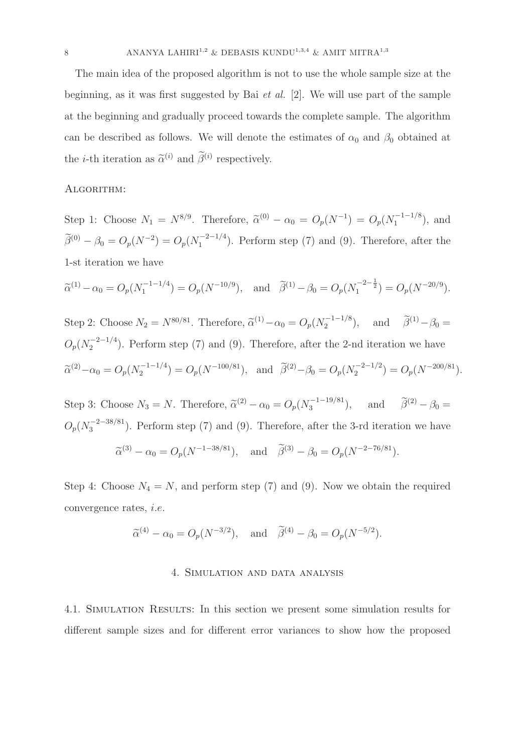The main idea of the proposed algorithm is not to use the whole sample size at the beginning, as it was first suggested by Bai et al. [2]. We will use part of the sample at the beginning and gradually proceed towards the complete sample. The algorithm can be described as follows. We will denote the estimates of  $\alpha_0$  and  $\beta_0$  obtained at the *i*-th iteration as  $\tilde{\alpha}^{(i)}$  and  $\tilde{\beta}^{(i)}$  respectively.

#### ALGORITHM:

Step 1: Choose  $N_1 = N^{8/9}$ . Therefore,  $\tilde{\alpha}^{(0)} - \alpha_0 = O_p(N^{-1}) = O_p(N_1^{-1-1/8})$  $\binom{n-1-1}{1}$ , and  $\widetilde{\beta}^{(0)} - \beta_0 = O_p(N^{-2}) = O_p(N_1^{-2-1/4})$  $\binom{1}{1}$ . Perform step (7) and (9). Therefore, after the 1-st iteration we have

$$
\widetilde{\alpha}^{(1)} - \alpha_0 = O_p(N_1^{-1-1/4}) = O_p(N^{-10/9}),
$$
 and  $\widetilde{\beta}^{(1)} - \beta_0 = O_p(N_1^{-2-\frac{1}{2}}) = O_p(N^{-20/9}).$ 

Step 2: Choose  $N_2 = N^{80/81}$ . Therefore,  $\tilde{\alpha}^{(1)} - \alpha_0 = O_p(N_2^{-1-1/8})$  $(\tilde{\beta}^{(1)} - \beta_0) =$  and  $(\tilde{\beta}^{(1)} - \beta_0) =$  $O_p(N_2^{-2-1/4})$  $2^{(-2-1/4})$ . Perform step (7) and (9). Therefore, after the 2-nd iteration we have  $\widetilde{\alpha}^{(2)} - \alpha_0 = O_p(N_2^{-1-1/4})$  $\widetilde{\beta}^{(2)} - \beta_0 = O_p(N^{-100/81}), \text{ and } \widetilde{\beta}^{(2)} - \beta_0 = O_p(N_2^{-2-1/2})$  $\binom{(-2)-1}{2} = O_p(N^{-200/81}).$ 

Step 3: Choose  $N_3 = N$ . Therefore,  $\tilde{\alpha}^{(2)} - \alpha_0 = O_p(N_3^{-1-19/81})$  $\hat{\beta}^{(2)} - \beta_0 =$ <br>3  $\hat{\beta}^{(2)} - \beta_0 =$  $O_p(N_3^{-2-38/81})$  $\binom{5}{3}$ . Perform step (7) and (9). Therefore, after the 3-rd iteration we have

$$
\tilde{\alpha}^{(3)} - \alpha_0 = O_p(N^{-1-38/81}), \text{ and } \tilde{\beta}^{(3)} - \beta_0 = O_p(N^{-2-76/81}).
$$

Step 4: Choose  $N_4 = N$ , and perform step (7) and (9). Now we obtain the required convergence rates, i.e.

$$
\widetilde{\alpha}^{(4)} - \alpha_0 = O_p(N^{-3/2}), \text{ and } \widetilde{\beta}^{(4)} - \beta_0 = O_p(N^{-5/2}).
$$

#### 4. Simulation and data analysis

4.1. Simulation Results: In this section we present some simulation results for different sample sizes and for different error variances to show how the proposed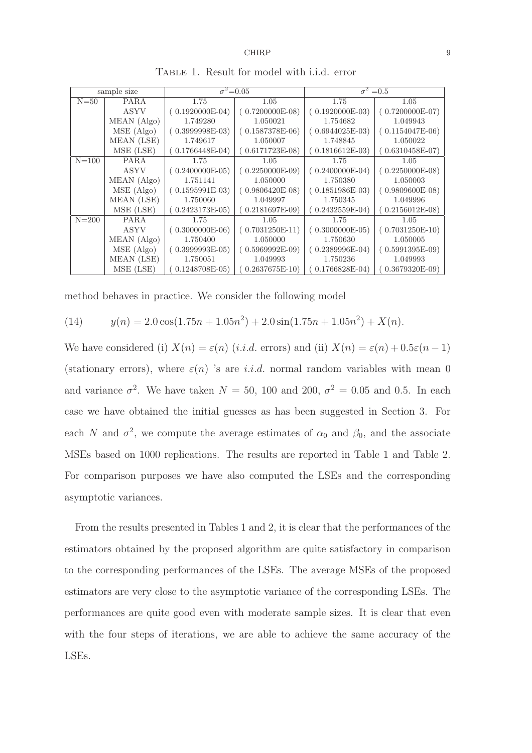| sample size |             | $\sigma^2 = 0.05$ |                   | $\sigma^2 = 0.5$  |                   |  |  |  |
|-------------|-------------|-------------------|-------------------|-------------------|-------------------|--|--|--|
| $N = 50$    | <b>PARA</b> | 1.75              | 1.05              | 1.75              | 1.05              |  |  |  |
|             | <b>ASYV</b> | $(0.1920000E-04)$ | $(0.7200000E-08)$ | $(0.1920000E-03)$ | $(0.7200000E-07)$ |  |  |  |
|             | MEAN (Algo) | 1.749280          | 1.050021          | 1.754682          | 1.049943          |  |  |  |
|             | MSE (Algo)  | $(0.3999998E-03)$ | $(0.1587378E-06)$ | $(0.6944025E-03)$ | $(0.1154047E-06)$ |  |  |  |
|             | MEAN (LSE)  | 1.749617          | 1.050007          | 1.748845          | 1.050022          |  |  |  |
|             | MSE (LSE)   | $0.1766448E-04)$  | $0.6171723E-08$   | $0.1816612E-03)$  | $0.6310458E-07$   |  |  |  |
| $N = 100$   | <b>PARA</b> | 1.75              | 1.05              | 1.75              | 1.05              |  |  |  |
|             | ASYV        | $(0.2400000E-05)$ | $(0.2250000E-09)$ | $(0.2400000E-04)$ | $(0.2250000E-08)$ |  |  |  |
|             | MEAN (Algo) | 1.751141          | 1.050000          | 1.750380          | 1.050003          |  |  |  |
|             | MSE (Algo)  | $(0.1595991E-03)$ | $(0.9806420E-08)$ | $(0.1851986E-03)$ | $(0.9809600E-08)$ |  |  |  |
|             | MEAN (LSE)  | 1.750060          | 1.049997          | 1.750345          | 1.049996          |  |  |  |
|             | MSE (LSE)   | $0.2423173E-05$   | $0.2181697E-09$   | $0.2432559E-04)$  | $0.2156012E-08$   |  |  |  |
| $N = 200$   | <b>PARA</b> | 1.75              | 1.05              | 1.75              | 1.05              |  |  |  |
|             | ASYV        | $(0.3000000E-06)$ | $(0.7031250E-11)$ | $(0.3000000E-05)$ | $(0.7031250E-10)$ |  |  |  |
|             | MEAN (Algo) | 1.750400          | 1.050000          | 1.750630          | 1.050005          |  |  |  |
|             | MSE (Algo)  | $(0.3999993E-05)$ | $(0.5969992E-09)$ | $(0.2389996E-04)$ | $(0.5991395E-09)$ |  |  |  |
|             | MEAN (LSE)  | 1.750051          | 1.049993          | 1.750236          | 1.049993          |  |  |  |
|             | MSE (LSE)   | $0.1248708E-05$   | $0.2637675E-10$   | $0.1766828E-04$   | $0.3679320E-09$   |  |  |  |

Table 1. Result for model with i.i.d. error

method behaves in practice. We consider the following model

(14) 
$$
y(n) = 2.0 \cos(1.75n + 1.05n^2) + 2.0 \sin(1.75n + 1.05n^2) + X(n).
$$

We have considered (i)  $X(n) = \varepsilon(n)$  (i.i.d. errors) and (ii)  $X(n) = \varepsilon(n) + 0.5\varepsilon(n-1)$ (stationary errors), where  $\varepsilon(n)$  's are *i.i.d.* normal random variables with mean 0 and variance  $\sigma^2$ . We have taken  $N = 50$ , 100 and 200,  $\sigma^2 = 0.05$  and 0.5. In each case we have obtained the initial guesses as has been suggested in Section 3. For each N and  $\sigma^2$ , we compute the average estimates of  $\alpha_0$  and  $\beta_0$ , and the associate MSEs based on 1000 replications. The results are reported in Table 1 and Table 2. For comparison purposes we have also computed the LSEs and the corresponding asymptotic variances.

From the results presented in Tables 1 and 2, it is clear that the performances of the estimators obtained by the proposed algorithm are quite satisfactory in comparison to the corresponding performances of the LSEs. The average MSEs of the proposed estimators are very close to the asymptotic variance of the corresponding LSEs. The performances are quite good even with moderate sample sizes. It is clear that even with the four steps of iterations, we are able to achieve the same accuracy of the LSEs.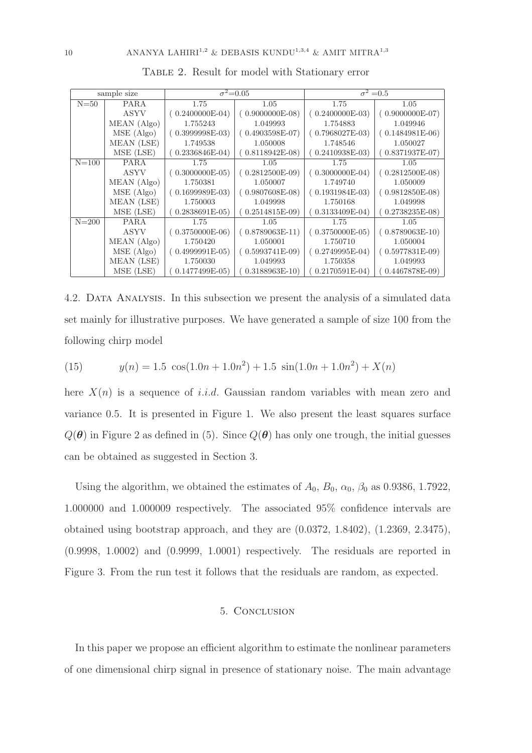| sample size |             | $\sigma^2 = 0.05$ |                   | $\sigma^2 = 0.5$  |                   |  |  |  |  |
|-------------|-------------|-------------------|-------------------|-------------------|-------------------|--|--|--|--|
| $N = 50$    | <b>PARA</b> | 1.75              | 1.05              | 1.75              | 1.05              |  |  |  |  |
|             | ASYV        | $(0.2400000E-04)$ | $(0.9000000E-08)$ | $(0.2400000E-03)$ | $(0.9000000E-07)$ |  |  |  |  |
|             | MEAN (Algo) | 1.755243          | 1.049993          | 1.754883          | 1.049946          |  |  |  |  |
|             | MSE (Algo)  | $(0.3999998E-03)$ | $0.4903598E-07$   | $(0.7968027E-03)$ | $(0.1484981E-06)$ |  |  |  |  |
|             | MEAN (LSE)  | 1.749538          | 1.050008          | 1.748546          | 1.050027          |  |  |  |  |
|             | MSE (LSE)   | $0.2336846E-04$   | $0.8118942E-08$   | $0.2410938E-03$   | $(0.8371937E-07)$ |  |  |  |  |
| $N = 100$   | <b>PARA</b> | 1.75              | 1.05              | 1.75              | 1.05              |  |  |  |  |
|             | ASYV        | $0.3000000E-05)$  | $(0.2812500E-09)$ | $(0.3000000E-04)$ | $(0.2812500E-08)$ |  |  |  |  |
|             | MEAN (Algo) | 1.750381          | 1.050007          | 1.749740          | 1.050009          |  |  |  |  |
|             | MSE (Algo)  | $(0.1699989E-03)$ | $(0.9807608E-08)$ | $(0.1931984E-03)$ | $(0.9812850E-08)$ |  |  |  |  |
|             | MEAN (LSE)  | 1.750003          | 1.049998          | 1.750168          | 1.049998          |  |  |  |  |
|             | MSE (LSE)   | $0.2838691E-05$   | $0.2514815E-09$   | $0.3133409E-04)$  | $(0.2738235E-08)$ |  |  |  |  |
| $N = 200$   | <b>PARA</b> | 1.75              | 1.05              | 1.75              | 1.05              |  |  |  |  |
|             | ASYV        | $(0.3750000E-06)$ | $(0.8789063E-11)$ | ( 0.3750000E-05)  | $(0.8789063E-10)$ |  |  |  |  |
|             | MEAN (Algo) | 1.750420          | 1.050001          | 1.750710          | 1.050004          |  |  |  |  |
|             | MSE (Algo)  | $(0.4999991E-05)$ | $0.5993741E-09$   | $0.2749995E-04$   | $(0.5977831E-09)$ |  |  |  |  |
|             | MEAN (LSE)  | 1.750030          | 1.049993          | 1.750358          | 1.049993          |  |  |  |  |
|             | MSE (LSE)   | $0.1477499E-05$   | $0.3188963E-10$   | $0.2170591E-04$   | $0.4467878E-09$   |  |  |  |  |

Table 2. Result for model with Stationary error

4.2. Data Analysis. In this subsection we present the analysis of a simulated data set mainly for illustrative purposes. We have generated a sample of size 100 from the following chirp model

(15) 
$$
y(n) = 1.5 \cos(1.0n + 1.0n^2) + 1.5 \sin(1.0n + 1.0n^2) + X(n)
$$

here  $X(n)$  is a sequence of *i.i.d.* Gaussian random variables with mean zero and variance 0.5. It is presented in Figure 1. We also present the least squares surface  $Q(\theta)$  in Figure 2 as defined in (5). Since  $Q(\theta)$  has only one trough, the initial guesses can be obtained as suggested in Section 3.

Using the algorithm, we obtained the estimates of  $A_0$ ,  $B_0$ ,  $\alpha_0$ ,  $\beta_0$  as 0.9386, 1.7922, 1.000000 and 1.000009 respectively. The associated 95% confidence intervals are obtained using bootstrap approach, and they are (0.0372, 1.8402), (1.2369, 2.3475), (0.9998, 1.0002) and (0.9999, 1.0001) respectively. The residuals are reported in Figure 3. From the run test it follows that the residuals are random, as expected.

### 5. Conclusion

In this paper we propose an efficient algorithm to estimate the nonlinear parameters of one dimensional chirp signal in presence of stationary noise. The main advantage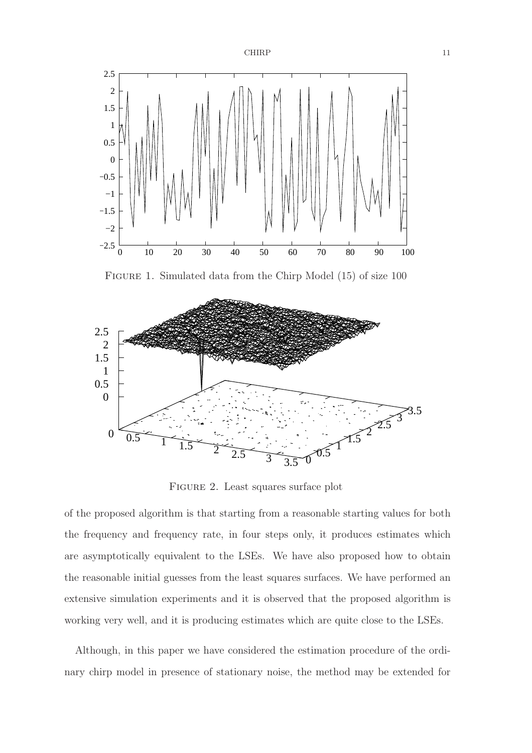

FIGURE 1. Simulated data from the Chirp Model (15) of size 100



FIGURE 2. Least squares surface plot

of the proposed algorithm is that starting from a reasonable starting values for both the frequency and frequency rate, in four steps only, it produces estimates which are asymptotically equivalent to the LSEs. We have also proposed how to obtain the reasonable initial guesses from the least squares surfaces. We have performed an extensive simulation experiments and it is observed that the proposed algorithm is working very well, and it is producing estimates which are quite close to the LSEs.

Although, in this paper we have considered the estimation procedure of the ordinary chirp model in presence of stationary noise, the method may be extended for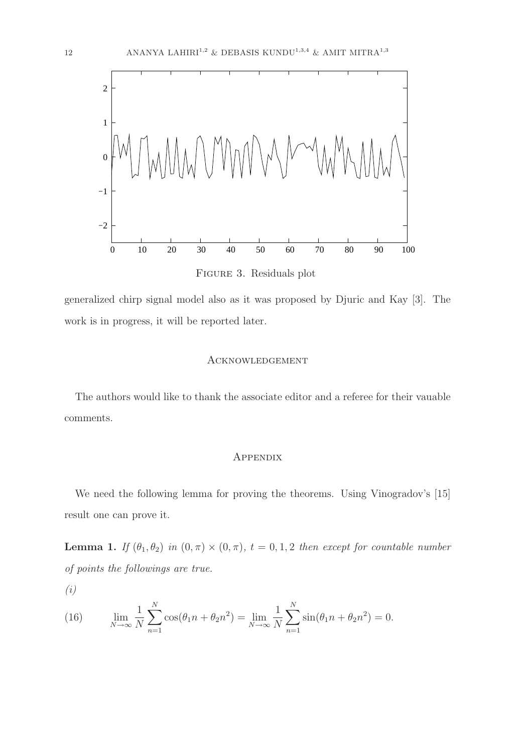

Figure 3. Residuals plot

generalized chirp signal model also as it was proposed by Djuric and Kay [3]. The work is in progress, it will be reported later.

### Acknowledgement

The authors would like to thank the associate editor and a referee for their vauable comments.

### **APPENDIX**

We need the following lemma for proving the theorems. Using Vinogradov's [15] result one can prove it.

**Lemma 1.** If  $(\theta_1, \theta_2)$  in  $(0, \pi) \times (0, \pi)$ ,  $t = 0, 1, 2$  then except for countable number of points the followings are true.

(i)

(16) 
$$
\lim_{N \to \infty} \frac{1}{N} \sum_{n=1}^{N} \cos(\theta_1 n + \theta_2 n^2) = \lim_{N \to \infty} \frac{1}{N} \sum_{n=1}^{N} \sin(\theta_1 n + \theta_2 n^2) = 0.
$$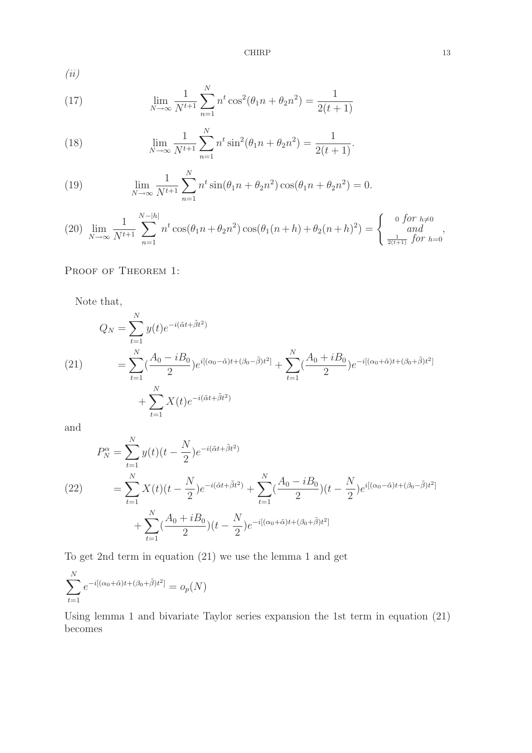CHIRP 13

(ii)

(17) 
$$
\lim_{N \to \infty} \frac{1}{N^{t+1}} \sum_{n=1}^{N} n^t \cos^2(\theta_1 n + \theta_2 n^2) = \frac{1}{2(t+1)}
$$

(18) 
$$
\lim_{N \to \infty} \frac{1}{N^{t+1}} \sum_{n=1}^{N} n^t \sin^2(\theta_1 n + \theta_2 n^2) = \frac{1}{2(t+1)}.
$$

(19) 
$$
\lim_{N \to \infty} \frac{1}{N^{t+1}} \sum_{n=1}^{N} n^t \sin(\theta_1 n + \theta_2 n^2) \cos(\theta_1 n + \theta_2 n^2) = 0.
$$

$$
(20)\ \lim_{N\to\infty}\frac{1}{N^{t+1}}\sum_{n=1}^{N-|h|}n^t\cos(\theta_1n+\theta_2n^2)\cos(\theta_1(n+h)+\theta_2(n+h)^2)=\begin{cases} 0\ \ \text{for }h\neq0\\ \ \text{and}\\ \frac{1}{2(t+1)}\ \ \text{for }h=0 \end{cases},
$$

# PROOF OF THEOREM 1:

Note that,

(21) 
$$
Q_N = \sum_{t=1}^N y(t)e^{-i(\tilde{\alpha}t + \tilde{\beta}t^2)}
$$

$$
= \sum_{t=1}^N (\frac{A_0 - iB_0}{2})e^{i[(\alpha_0 - \tilde{\alpha})t + (\beta_0 - \tilde{\beta})t^2]} + \sum_{t=1}^N (\frac{A_0 + iB_0}{2})e^{-i[(\alpha_0 + \tilde{\alpha})t + (\beta_0 + \tilde{\beta})t^2]}
$$

$$
+ \sum_{t=1}^N X(t)e^{-i(\tilde{\alpha}t + \tilde{\beta}t^2)}
$$

and

$$
P_N^{\alpha} = \sum_{t=1}^N y(t)(t - \frac{N}{2})e^{-i(\tilde{\alpha}t + \tilde{\beta}t^2)}
$$
  
(22) 
$$
= \sum_{t=1}^N X(t)(t - \frac{N}{2})e^{-i(\tilde{\alpha}t + \tilde{\beta}t^2)} + \sum_{t=1}^N (\frac{A_0 - iB_0}{2})(t - \frac{N}{2})e^{i[(\alpha_0 - \tilde{\alpha})t + (\beta_0 - \tilde{\beta})t^2]}
$$

$$
+ \sum_{t=1}^N (\frac{A_0 + iB_0}{2})(t - \frac{N}{2})e^{-i[(\alpha_0 + \tilde{\alpha})t + (\beta_0 + \tilde{\beta})t^2]}
$$

To get 2nd term in equation (21) we use the lemma 1 and get

$$
\sum_{t=1}^{N} e^{-i[(\alpha_0 + \tilde{\alpha})t + (\beta_0 + \tilde{\beta})t^2]} = o_p(N)
$$

Using lemma 1 and bivariate Taylor series expansion the 1st term in equation (21) becomes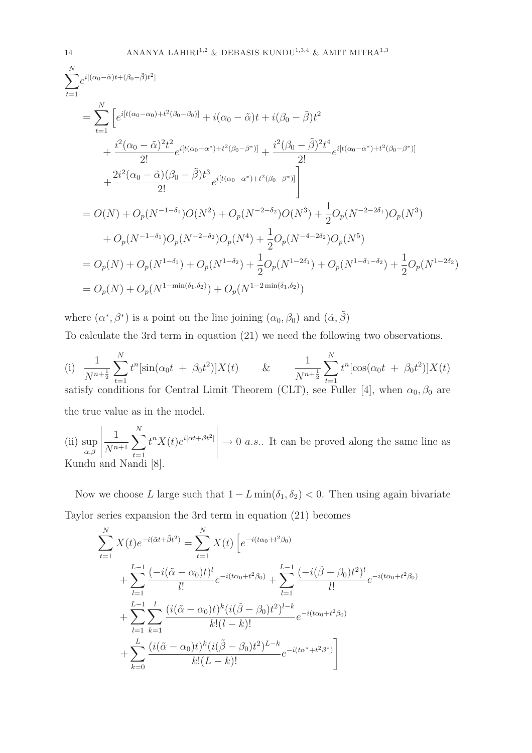$$
\sum_{t=1}^{N} e^{i[(\alpha_0 - \tilde{\alpha})t + (\beta_0 - \tilde{\beta})t^2]} \n= \sum_{t=1}^{N} \left[ e^{i[t(\alpha_0 - \alpha_0) + t^2(\beta_0 - \beta_0)]} + i(\alpha_0 - \tilde{\alpha})t + i(\beta_0 - \tilde{\beta})t^2 + \frac{i^2(\beta_0 - \tilde{\beta})^2t^4}{2!} e^{i[t(\alpha_0 - \alpha^*) + t^2(\beta_0 - \beta^*)]} + \frac{i^2(\beta_0 - \tilde{\beta})^2t^4}{2!} e^{i[t(\alpha_0 - \alpha^*) + t^2(\beta_0 - \beta^*)]} \right] \n+ \frac{2i^2(\alpha_0 - \tilde{\alpha})(\beta_0 - \tilde{\beta})t^3}{2!} e^{i[t(\alpha_0 - \alpha^*) + t^2(\beta_0 - \beta^*)]} \right] \n= O(N) + O_p(N^{-1-\delta_1})O(N^2) + O_p(N^{-2-\delta_2})O(N^3) + \frac{1}{2}O_p(N^{-2-2\delta_1})O_p(N^3) \n+ O_p(N^{-1-\delta_1})O_p(N^{-2-\delta_2})O_p(N^4) + \frac{1}{2}O_p(N^{-4-2\delta_2})O_p(N^5) \n= O_p(N) + O_p(N^{1-\delta_1}) + O_p(N^{1-\delta_2}) + \frac{1}{2}O_p(N^{1-2\delta_1}) + O_p(N^{1-\delta_2}) + \frac{1}{2}O_p(N^{1-2\delta_2}) \n= O_p(N) + O_p(N^{1-\min(\delta_1, \delta_2)}) + O_p(N^{1-\min(\delta_1, \delta_2)})
$$

where  $(\alpha^*, \beta^*)$  is a point on the line joining  $(\alpha_0, \beta_0)$  and  $(\tilde{\alpha}, \tilde{\beta})$ To calculate the 3rd term in equation (21) we need the following two observations.

(i) 
$$
\frac{1}{N^{n+\frac{1}{2}}} \sum_{t=1}^{N} t^n [\sin(\alpha_0 t + \beta_0 t^2)]X(t)
$$
 & 
$$
\frac{1}{N^{n+\frac{1}{2}}} \sum_{t=1}^{N} t^n [\cos(\alpha_0 t + \beta_0 t^2)]X(t)
$$
 satisfy conditions for Central Limit Theorem (CLT), see Fuller [4], when  $\alpha_0, \beta_0$  are the true value as in the model.

(ii) sup  $_{\alpha,\beta}$   $\frac{1}{N^{n+1}}\sum_{t=1}^N$  $t=1$  $t^n X(t) e^{i[\alpha t + \beta t^2]}$   $\rightarrow 0$  a.s.. It can be proved along the same line as Kundu and Nandi [8].

Now we choose L large such that  $1 - L \min(\delta_1, \delta_2) < 0$ . Then using again bivariate Taylor series expansion the 3rd term in equation (21) becomes

$$
\sum_{t=1}^{N} X(t)e^{-i(\tilde{\alpha}t+\tilde{\beta}t^{2})} = \sum_{t=1}^{N} X(t) \left[ e^{-i(t\alpha_{0}+t^{2}\beta_{0})} + \sum_{l=1}^{L-1} \frac{(-i(\tilde{\alpha}-\alpha_{0})t)^{l}}{l!} e^{-i(t\alpha_{0}+t^{2}\beta_{0})} + \sum_{l=1}^{L-1} \frac{(-i(\tilde{\beta}-\beta_{0})t^{2})^{l}}{l!} e^{-i(t\alpha_{0}+t^{2}\beta_{0})} + \sum_{l=1}^{L-1} \sum_{k=1}^{l} \frac{(i(\tilde{\alpha}-\alpha_{0})t)^{k}(i(\tilde{\beta}-\beta_{0})t^{2})^{l-k}}{k!(l-k)!} e^{-i(t\alpha_{0}+t^{2}\beta_{0})} + \sum_{k=0}^{L} \frac{(i(\tilde{\alpha}-\alpha_{0})t)^{k}(i(\tilde{\beta}-\beta_{0})t^{2})^{L-k}}{k!(L-k)!} e^{-i(t\alpha^{*}+t^{2}\beta^{*})} \right]
$$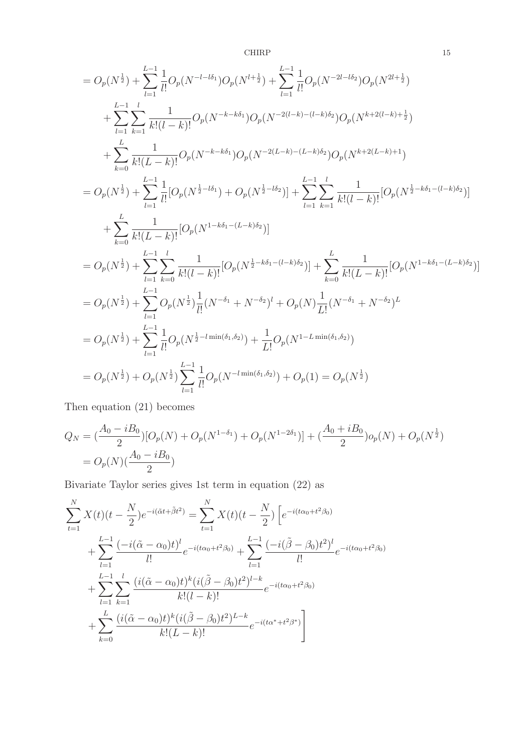CHIRP 15

$$
=O_{p}(N^{\frac{1}{2}})+\sum_{l=1}^{L-1}\frac{1}{l!}O_{p}(N^{-l-l\delta_{1}})O_{p}(N^{l+\frac{1}{2}})+\sum_{l=1}^{L-1}\frac{1}{l!}O_{p}(N^{-2l-l\delta_{2}})O_{p}(N^{2l+\frac{1}{2}})
$$
  
+
$$
\sum_{l=1}^{L-1}\sum_{k=1}^{l}\frac{1}{k!(l-k)!}O_{p}(N^{-k-k\delta_{1}})O_{p}(N^{-2(l-k)-(l-k)\delta_{2}})O_{p}(N^{k+2(l-k)+\frac{1}{2}})
$$
  
+
$$
\sum_{k=0}^{L}\frac{1}{k!(L-k)!}O_{p}(N^{-k-k\delta_{1}})O_{p}(N^{-2(L-k)-(L-k)\delta_{2}})O_{p}(N^{k+2(L-k)+1})
$$
  
=
$$
O_{p}(N^{\frac{1}{2}})+\sum_{l=1}^{L-1}\frac{1}{l!}[O_{p}(N^{\frac{1}{2}-l\delta_{1}})+O_{p}(N^{\frac{1}{2}-l\delta_{2}})]+\sum_{l=1}^{L-1}\sum_{k=1}^{l}\frac{1}{k!(l-k)!}[O_{p}(N^{\frac{1}{2}-k\delta_{1}-(l-k)\delta_{2}})]
$$
  
+
$$
\sum_{k=0}^{L}\frac{1}{k!(L-k)!}[O_{p}(N^{1-k\delta_{1}-(L-k)\delta_{2}})]
$$
  
=
$$
O_{p}(N^{\frac{1}{2}})+\sum_{l=1}^{L-1}\sum_{k=0}^{l}\frac{1}{k!(l-k)!}[O_{p}(N^{\frac{1}{2}-k\delta_{1}-(l-k)\delta_{2}})]+\sum_{k=0}^{L}\frac{1}{k!(L-k)!}[O_{p}(N^{1-k\delta_{1}-(L-k)\delta_{2}})]
$$
  
=
$$
O_{p}(N^{\frac{1}{2}})+\sum_{l=1}^{L-1}O_{p}(N^{\frac{1}{2}})\frac{1}{l!}(N^{-\delta_{1}}+N^{-\delta_{2}})^{l}+O_{p}(N)\frac{1}{L!}(N^{-\delta_{1}}+N^{-\delta_{2}})^{L}
$$
  
=
$$
O_{p}(N^{\frac{1}{2}})+\sum_{l=1}^{L-1}\frac{1}{l!}O_{p}(N
$$

Then equation (21) becomes

$$
Q_N = \left(\frac{A_0 - iB_0}{2}\right)[O_p(N) + O_p(N^{1-\delta_1}) + O_p(N^{1-2\delta_1})] + \left(\frac{A_0 + iB_0}{2}\right)o_p(N) + O_p(N^{\frac{1}{2}})
$$
  
=  $O_p(N)\left(\frac{A_0 - iB_0}{2}\right)$ 

Bivariate Taylor series gives 1st term in equation (22) as

$$
\sum_{t=1}^{N} X(t)(t - \frac{N}{2})e^{-i(\tilde{\alpha}t + \tilde{\beta}t^{2})} = \sum_{t=1}^{N} X(t)(t - \frac{N}{2}) \left[ e^{-i(t\alpha_{0} + t^{2}\beta_{0})} + \sum_{l=1}^{L-1} \frac{(-i(\tilde{\alpha} - \alpha_{0})t)^{l}}{l!} e^{-i(t\alpha_{0} + t^{2}\beta_{0})} + \sum_{l=1}^{L-1} \frac{(-i(\tilde{\beta} - \beta_{0})t^{2})^{l}}{l!} e^{-i(t\alpha_{0} + t^{2}\beta_{0})} + \sum_{l=1}^{L-1} \sum_{k=1}^{l} \frac{(i(\tilde{\alpha} - \alpha_{0})t)^{k}(i(\tilde{\beta} - \beta_{0})t^{2})^{l-k}}{k!(l-k)!} e^{-i(t\alpha_{0} + t^{2}\beta_{0})} + \sum_{k=0}^{L} \frac{(i(\tilde{\alpha} - \alpha_{0})t)^{k}(i(\tilde{\beta} - \beta_{0})t^{2})^{L-k}}{k!(L-k)!} e^{-i(t\alpha^{*} + t^{2}\beta^{*})} \right]
$$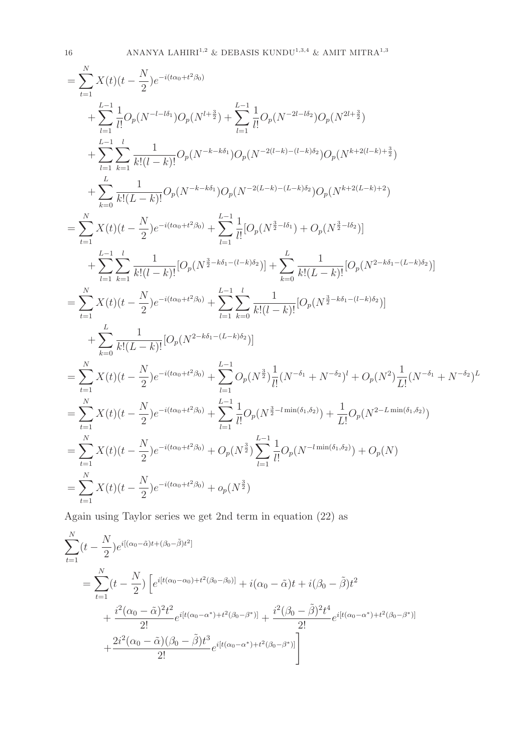$$
= \sum_{t=1}^{N} X(t)(t - \frac{N}{2})e^{-i(t\alpha_0 + t^2\beta_0)}
$$
  
+ 
$$
\sum_{l=1}^{L-1} \frac{1}{l!}O_p(N^{-l - l\delta_1})O_p(N^{l + \frac{3}{2}}) + \sum_{l=1}^{L-1} \frac{1}{l!}O_p(N^{-2l - l\delta_2})O_p(N^{2l + \frac{3}{2}})
$$
  
+ 
$$
\sum_{l=1}^{L-1} \sum_{k=1}^{l} \frac{1}{k!(l-k)!}O_p(N^{-k - k\delta_1})O_p(N^{-2(l-k) - (l-k)\delta_2})O_p(N^{k + 2(l-k) + \frac{3}{2}})
$$
  
+ 
$$
\sum_{k=0}^{L} \frac{1}{k!(L-k)!}O_p(N^{-k - k\delta_1})O_p(N^{-2(L-k) - (L-k)\delta_2})O_p(N^{k + 2(L-k) + 2})
$$
  
= 
$$
\sum_{t=1}^{N} X(t)(t - \frac{N}{2})e^{-i(t\alpha_0 + t^2\beta_0)} + \sum_{l=1}^{L-1} \frac{1}{l!} [O_p(N^{\frac{3}{2} - l\delta_1}) + O_p(N^{\frac{3}{2} - l\delta_2})]
$$
  
+ 
$$
\sum_{l=1}^{L-1} \sum_{k=1}^{l} \frac{1}{k!(l-k)!} [O_p(N^{\frac{3}{2} - k\delta_1 - (l-k)\delta_2})] + \sum_{k=0}^{L} \frac{1}{k!(L-k)!} [O_p(N^{2 - k\delta_1 - (L-k)\delta_2})]
$$
  
= 
$$
\sum_{k=1}^{N} X(t)(t - \frac{N}{2})e^{-i(t\alpha_0 + t^2\beta_0)} + \sum_{l=1}^{L-1} \sum_{k=0}^{l} \frac{1}{k!(l-k)!} [O_p(N^{\frac{3}{2} - k\delta_1 - (l-k)\delta_2})]
$$
  
= 
$$
\sum_{t=1}^{N} X(t)(t - \frac{N}{2})e^{-i(t\alpha_0 + t^2\beta_0)} + \sum_{l=1}^{L-1} O_p(N^{\frac{3}{2}}) \frac{1}{l!} (N^{-\delta_1} + N^{-\delta_2})^l + O_p(N^2) \frac{1}{L!} (N^{-
$$

Again using Taylor series we get 2nd term in equation (22) as

$$
\sum_{t=1}^{N} (t - \frac{N}{2}) e^{i[(\alpha_0 - \tilde{\alpha})t + (\beta_0 - \tilde{\beta})t^2]} \n= \sum_{t=1}^{N} (t - \frac{N}{2}) \left[ e^{i[t(\alpha_0 - \alpha_0) + t^2(\beta_0 - \beta_0)]} + i(\alpha_0 - \tilde{\alpha})t + i(\beta_0 - \tilde{\beta})t^2 \right. \n+ \frac{i^2(\alpha_0 - \tilde{\alpha})^2 t^2}{2!} e^{i[t(\alpha_0 - \alpha^*) + t^2(\beta_0 - \beta^*)]} + \frac{i^2(\beta_0 - \tilde{\beta})^2 t^4}{2!} e^{i[t(\alpha_0 - \alpha^*) + t^2(\beta_0 - \beta^*)]} \n+ \frac{2i^2(\alpha_0 - \tilde{\alpha})(\beta_0 - \tilde{\beta})t^3}{2!} e^{i[t(\alpha_0 - \alpha^*) + t^2(\beta_0 - \beta^*)]} \right]
$$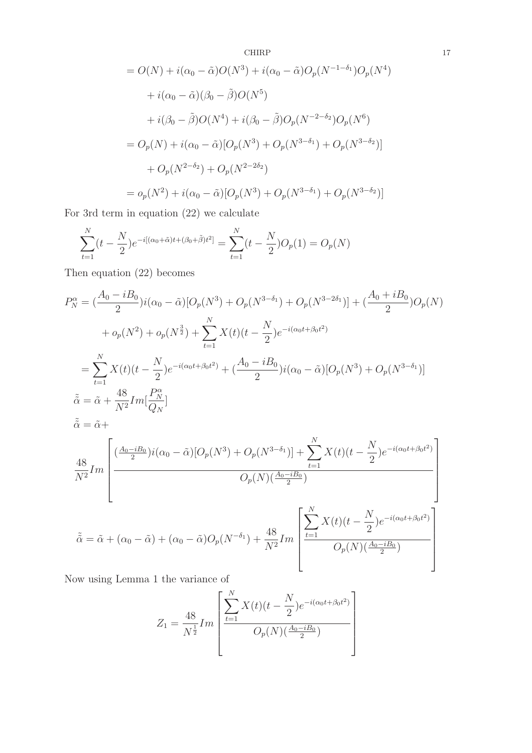CHIRP  
\n
$$
= O(N) + i(\alpha_0 - \tilde{\alpha})O(N^3) + i(\alpha_0 - \tilde{\alpha})O_p(N^{-1-\delta_1})O_p(N^4)
$$
\n
$$
+ i(\alpha_0 - \tilde{\alpha})(\beta_0 - \tilde{\beta})O(N^5)
$$
\n
$$
+ i(\beta_0 - \tilde{\beta})O(N^4) + i(\beta_0 - \tilde{\beta})O_p(N^{-2-\delta_2})O_p(N^6)
$$
\n
$$
= O_p(N) + i(\alpha_0 - \tilde{\alpha})[O_p(N^3) + O_p(N^{3-\delta_1}) + O_p(N^{3-\delta_2})]
$$
\n
$$
+ O_p(N^{2-\delta_2}) + O_p(N^{2-2\delta_2})
$$
\n
$$
= o_p(N^2) + i(\alpha_0 - \tilde{\alpha})[O_p(N^3) + O_p(N^{3-\delta_1}) + O_p(N^{3-\delta_2})]
$$

For 3rd term in equation (22) we calculate

$$
\sum_{t=1}^{N} (t - \frac{N}{2}) e^{-i[(\alpha_0 + \tilde{\alpha})t + (\beta_0 + \tilde{\beta})t^2]} = \sum_{t=1}^{N} (t - \frac{N}{2}) O_p(1) = O_p(N)
$$

Then equation (22) becomes

$$
P_N^{\alpha} = \left(\frac{A_0 - iB_0}{2}\right) i(\alpha_0 - \tilde{\alpha}) [O_p(N^3) + O_p(N^{3-\delta_1}) + O_p(N^{3-2\delta_1})] + \left(\frac{A_0 + iB_0}{2}\right) O_p(N)
$$
  
+  $o_p(N^2) + o_p(N^{\frac{3}{2}}) + \sum_{t=1}^N X(t)(t - \frac{N}{2})e^{-i(\alpha_0 t + \beta_0 t^2)}$   
=  $\sum_{t=1}^N X(t)(t - \frac{N}{2})e^{-i(\alpha_0 t + \beta_0 t^2)} + \left(\frac{A_0 - iB_0}{2}\right) i(\alpha_0 - \tilde{\alpha}) [O_p(N^3) + O_p(N^{3-\delta_1})]$   

$$
\tilde{\alpha} = \tilde{\alpha} + \frac{48}{N^2} Im[\frac{P_N^{\alpha}}{Q_N}]
$$
  

$$
\tilde{\alpha} = \tilde{\alpha} + \frac{48}{N^2} Im[\frac{(\frac{A_0 - iB_0}{2})i(\alpha_0 - \tilde{\alpha})[O_p(N^3) + O_p(N^{3-\delta_1})] + \sum_{t=1}^N X(t)(t - \frac{N}{2})e^{-i(\alpha_0 t + \beta_0 t^2)}}{O_p(N)(\frac{A_0 - iB_0}{2})}]
$$
  

$$
\tilde{\alpha} = \tilde{\alpha} + (\alpha_0 - \tilde{\alpha}) + (\alpha_0 - \tilde{\alpha})O_p(N^{-\delta_1}) + \frac{48}{N^2} Im\left[\sum_{t=1}^N X(t)(t - \frac{N}{2})e^{-i(\alpha_0 t + \beta_0 t^2)}\right]
$$

Now using Lemma 1 the variance of

$$
Z_1 = \frac{48}{N^{\frac{1}{2}}} Im \left[ \frac{\sum_{t=1}^{N} X(t)(t - \frac{N}{2})e^{-i(\alpha_0 t + \beta_0 t^2)}}{O_p(N)(\frac{A_0 - iB_0}{2})} \right]
$$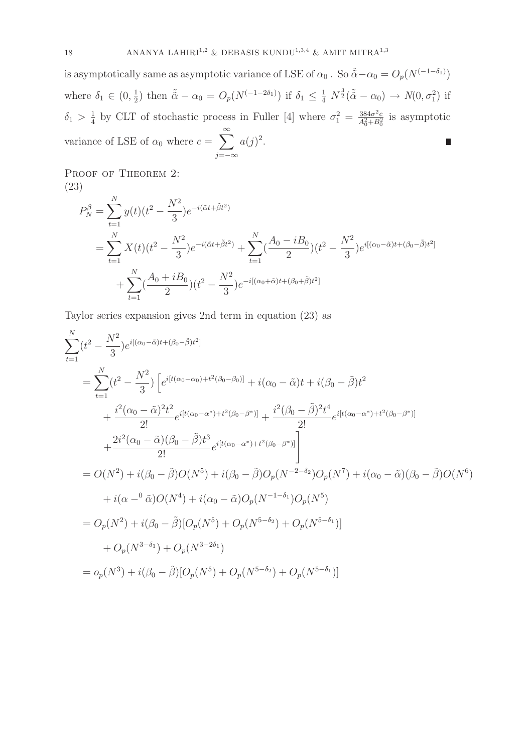is asymptotically same as asymptotic variance of LSE of  $\alpha_0$ . So  $\tilde{\alpha} - \alpha_0 = O_p(N^{(-1-\delta_1)})$  $\frac{1}{2}$ ) then  $\tilde{\alpha} - \alpha_0 = O_p(N^{(-1-2\delta_1)})$  if  $\delta_1 \leq \frac{1}{4} N^{\frac{3}{2}}(\tilde{\alpha} - \alpha_0) \to N(0, \sigma_1^2)$  if where  $\delta_1 \in (0, \frac{1}{2})$  $\frac{1}{4}$  by CLT of stochastic process in Fuller [4] where  $\sigma_1^2 = \frac{384\sigma^2 c}{A_0^2 + B_0^2}$  is asymptotic  $\delta_1 > \frac{1}{4}$ variance of LSE of  $\alpha_0$  where  $c = \sum_{n=1}^{\infty}$  $a(j)^2$ . j=−∞

PROOF OF THEOREM 2: (23)

$$
P_N^{\beta} = \sum_{t=1}^N y(t)(t^2 - \frac{N^2}{3})e^{-i(\tilde{\alpha}t + \tilde{\beta}t^2)}
$$
  
= 
$$
\sum_{t=1}^N X(t)(t^2 - \frac{N^2}{3})e^{-i(\tilde{\alpha}t + \tilde{\beta}t^2)} + \sum_{t=1}^N (\frac{A_0 - iB_0}{2})(t^2 - \frac{N^2}{3})e^{i[(\alpha_0 - \tilde{\alpha})t + (\beta_0 - \tilde{\beta})t^2]}
$$
  
+ 
$$
\sum_{t=1}^N (\frac{A_0 + iB_0}{2})(t^2 - \frac{N^2}{3})e^{-i[(\alpha_0 + \tilde{\alpha})t + (\beta_0 + \tilde{\beta})t^2]}
$$

Taylor series expansion gives 2nd term in equation (23) as

$$
\sum_{t=1}^{N} (t^{2} - \frac{N^{2}}{3}) e^{i[(\alpha_{0} - \tilde{\alpha})t + (\beta_{0} - \tilde{\beta})t^{2}]}
$$
\n
$$
= \sum_{t=1}^{N} (t^{2} - \frac{N^{2}}{3}) \left[ e^{i[t(\alpha_{0} - \alpha_{0}) + t^{2}(\beta_{0} - \beta_{0})]} + i(\alpha_{0} - \tilde{\alpha})t + i(\beta_{0} - \tilde{\beta})t^{2} + \frac{i^{2}(\alpha_{0} - \tilde{\alpha})^{2}t^{2}}{2!} e^{i[t(\alpha_{0} - \alpha^{*}) + t^{2}(\beta_{0} - \beta^{*})]} + \frac{i^{2}(\beta_{0} - \tilde{\beta})^{2}t^{4}}{2!} e^{i[t(\alpha_{0} - \alpha^{*}) + t^{2}(\beta_{0} - \beta^{*})]} + \frac{2i^{2}(\alpha_{0} - \tilde{\alpha})(\beta_{0} - \tilde{\beta})t^{3}}{2!} e^{i[t(\alpha_{0} - \alpha^{*}) + t^{2}(\beta_{0} - \beta^{*})]} \right]
$$
\n
$$
= O(N^{2}) + i(\beta_{0} - \tilde{\beta})O(N^{5}) + i(\beta_{0} - \tilde{\beta})O_{p}(N^{-2-\delta_{2}})O_{p}(N^{7}) + i(\alpha_{0} - \tilde{\alpha})(\beta_{0} - \tilde{\beta})O(N^{6}) + i(\alpha_{0} - \tilde{\alpha})O(N^{4}) + i(\alpha_{0} - \tilde{\alpha})O_{p}(N^{-1-\delta_{1}})O_{p}(N^{5})
$$
\n
$$
= O_{p}(N^{2}) + i(\beta_{0} - \tilde{\beta})[O_{p}(N^{5}) + O_{p}(N^{5-\delta_{2}}) + O_{p}(N^{5-\delta_{1}})]
$$
\n
$$
+ O_{p}(N^{3-\delta_{1}}) + O_{p}(N^{3-2\delta_{1}})
$$
\n
$$
= o_{p}(N^{3}) + i(\beta_{0} - \tilde{\beta})[O_{p}(N^{5}) + O_{p}(N^{5-\delta_{2}}) + O_{p}(N^{5-\delta_{1}})]
$$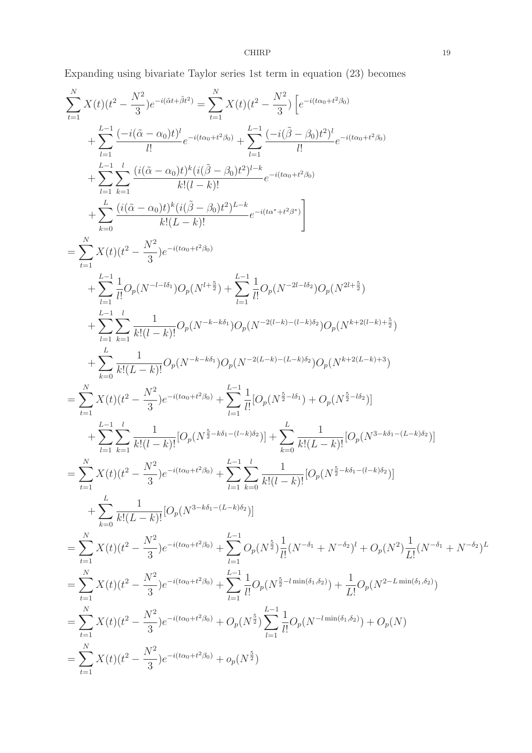$\begin{tabular}{c} \multicolumn{2}{c} \textbf{CHIRP} \\ 19 \end{tabular}$ 

Expanding using bivariate Taylor series 1st term in equation (23) becomes

$$
\sum_{i=1}^{N} X(t)(t^{2} - \frac{N^{2}}{3})e^{-i(3t+i\hat{\beta}t^{2})} = \sum_{i=1}^{N} X(t)(t^{2} - \frac{N^{2}}{3}) \left[e^{-i(4\alpha_{0}+t^{2}\beta_{0})} + \sum_{i=1}^{L-1} \frac{(-i(\hat{\beta}-\beta_{0})t^{2})^{i}}{l!}e^{-i(4\alpha_{0}+t^{2}\beta_{0})}\right.\n+ \sum_{i=1}^{L-1} \sum_{k=1}^{l} \frac{(i(\hat{\alpha}-\alpha_{0})t)^{k}(i(\hat{\beta}-\beta_{0})t^{2})^{l-k}}{k!(l-k)!}e^{-i(4\alpha_{0}+t^{2}\beta_{0})} \n+ \sum_{i=1}^{L-1} \sum_{k=1}^{l} \frac{(i(\hat{\alpha}-\alpha_{0})t)^{k}(i(\hat{\beta}-\beta_{0})t^{2})^{l-k}}{k!(l-k)!}e^{-i(4\alpha_{0}+t^{2}\beta_{0})}\n+ \sum_{i=0}^{L} \frac{(i(\hat{\alpha}-\alpha_{0})t)^{k}(i(\hat{\beta}-\beta_{0})t^{2})^{l-k}}{k!(l-k)!}e^{-i(4\alpha_{0}+t^{2}\beta_{0})}\n+ \sum_{i=1}^{L-1} \frac{1}{l!}O_{p}(N^{-l-l\delta_{1}})O_{p}(N^{l+\frac{5}{2}})+\sum_{i=1}^{L-1} \frac{1}{l!}O_{p}(N^{-2l-l\delta_{2}})O_{p}(N^{2l+\frac{5}{2}})\n+ \sum_{i=1}^{L-1} \sum_{k=1}^{l} \frac{1}{k!(l-k)!}O_{p}(N^{-k-k\delta_{1}})O_{p}(N^{-2(l-k)}-(l-k)\delta_{2}})O_{p}(N^{k+2(l-k)+\frac{5}{2}})\n+ \sum_{i=1}^{L} \sum_{k=1}^{l} \frac{1}{k!(l-k)!}O_{p}(N^{-k-k\delta_{1}})O_{p}(N^{-2(l-k)}-(l-k)\delta_{2}})O_{p}(N^{k+2(l-k)+\frac{5}{2}})\n+ \sum_{i=1}^{L} \sum_{k=1}^{l} \frac{1}{k!(l-k)!}O_{p}(N^{-k-k\delta_{1}})O_{p}(N^{-2(l-k)}
$$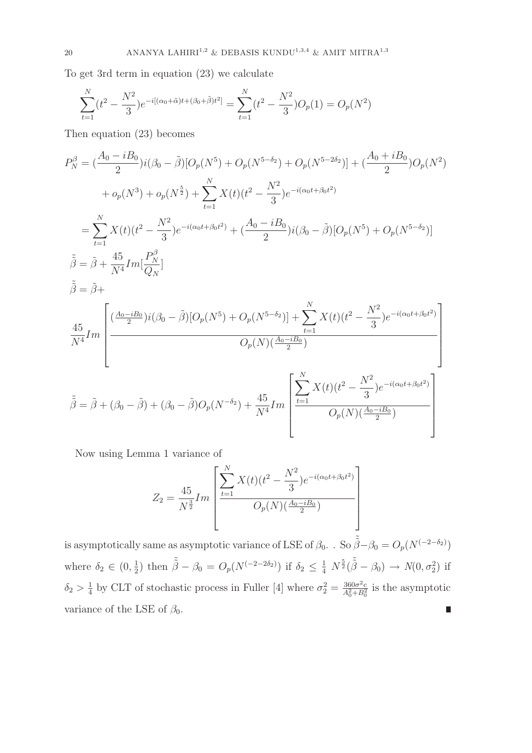To get 3rd term in equation (23) we calculate

$$
\sum_{t=1}^{N} (t^2 - \frac{N^2}{3})e^{-i[(\alpha_0 + \tilde{\alpha})t + (\beta_0 + \tilde{\beta})t^2]} = \sum_{t=1}^{N} (t^2 - \frac{N^2}{3})O_p(1) = O_p(N^2)
$$

Then equation (23) becomes

$$
P_N^{\beta} = \left(\frac{A_0 - iB_0}{2}\right) i(\beta_0 - \tilde{\beta}) [\overline{O}_p(N^5) + \overline{O}_p(N^{5-\delta_2}) + \overline{O}_p(N^{5-2\delta_2})] + \left(\frac{A_0 + iB_0}{2}\right) \overline{O}_p(N^2) + \overline{o}_p(N^3) + \overline{o}_p(N^{\frac{5}{2}}) + \sum_{t=1}^N X(t)(t^2 - \frac{N^2}{3})e^{-i(\alpha_0 t + \beta_0 t^2)} = \sum_{t=1}^N X(t)(t^2 - \frac{N^2}{3})e^{-i(\alpha_0 t + \beta_0 t^2)} + \left(\frac{A_0 - iB_0}{2}\right) i(\beta_0 - \tilde{\beta}) [\overline{O}_p(N^5) + \overline{O}_p(N^{5-\delta_2})] \n\tilde{\beta} = \tilde{\beta} + \frac{45}{N^4} Im \Big[\frac{P_N^{\beta}}{2} \Big] \n\tilde{\beta} = \tilde{\beta} + \frac{45}{N^4} Im \Big[\frac{\left(\frac{A_0 - iB_0}{2}\right) i(\beta_0 - \tilde{\beta}) [\overline{O}_p(N^5) + \overline{O}_p(N^{5-\delta_2})] + \sum_{t=1}^N X(t)(t^2 - \frac{N^2}{3})e^{-i(\alpha_0 t + \beta_0 t^2)} }{\overline{O}_p(N)(\frac{A_0 - iB_0}{2})} \Big]
$$
\n
$$
\tilde{\beta} = \tilde{\beta} + (\beta_0 - \tilde{\beta}) + (\beta_0 - \tilde{\beta}) \overline{O}_p(N^{-\delta_2}) + \frac{45}{N^4} Im \Bigg[\frac{\sum_{t=1}^N X(t)(t^2 - \frac{N^2}{3})e^{-i(\alpha_0 t + \beta_0 t^2)}}{\overline{O}_p(N)(\frac{A_0 - iB_0}{2})}\Bigg]
$$

Now using Lemma 1 variance of

$$
Z_2 = \frac{45}{N^{\frac{3}{2}}} Im \left[ \frac{\sum_{t=1}^{N} X(t)(t^2 - \frac{N^2}{3})e^{-i(\alpha_0 t + \beta_0 t^2)}}{O_p(N)(\frac{A_0 - iB_0}{2})} \right]
$$

is asymptotically same as asymptotic variance of LSE of  $\beta_0$ . . So  $\tilde{\beta} - \beta_0 = O_p(N^{(-2-\delta_2)})$  $(\frac{1}{2})$  then  $\tilde{\tilde{\beta}} - \beta_0 = O_p(N^{(-2-2\delta_2)})$  if  $\delta_2 \leq \frac{1}{4} N^{\frac{5}{2}}(\tilde{\tilde{\beta}} - \beta_0) \to N(0, \sigma_2^2)$  if where  $\delta_2 \in (0, \frac{1}{2})$  $\frac{1}{4}$  by CLT of stochastic process in Fuller [4] where  $\sigma_2^2 = \frac{360\sigma^2 c}{A_0^2 + B_0^2}$  is the asymptotic  $\delta_2>\frac{1}{4}$ variance of the LSE of  $\beta_0$ . П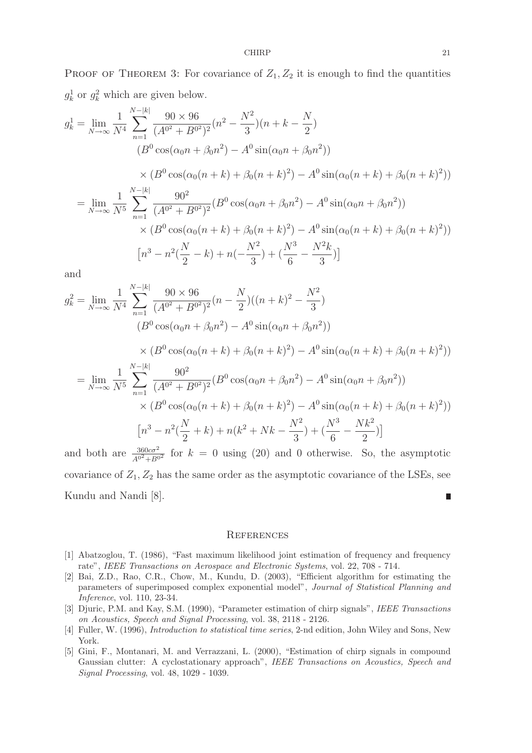PROOF OF THEOREM 3: For covariance of  $Z_1, Z_2$  it is enough to find the quantities  $g_k^1$  or  $g_k^2$  which are given below.

$$
g_k^1 = \lim_{N \to \infty} \frac{1}{N^4} \sum_{n=1}^{N-|k|} \frac{90 \times 96}{(A^{0^2} + B^{0^2})^2} (n^2 - \frac{N^2}{3}) (n + k - \frac{N}{2})
$$
  
\n
$$
(B^0 \cos(\alpha_0 n + \beta_0 n^2) - A^0 \sin(\alpha_0 n + \beta_0 n^2))
$$
  
\n
$$
\times (B^0 \cos(\alpha_0 (n + k) + \beta_0 (n + k)^2) - A^0 \sin(\alpha_0 (n + k) + \beta_0 (n + k)^2))
$$
  
\n
$$
= \lim_{N \to \infty} \frac{1}{N^5} \sum_{n=1}^{N-|k|} \frac{90^2}{(A^{0^2} + B^{0^2})^2} (B^0 \cos(\alpha_0 n + \beta_0 n^2) - A^0 \sin(\alpha_0 n + \beta_0 n^2))
$$
  
\n
$$
\times (B^0 \cos(\alpha_0 (n + k) + \beta_0 (n + k)^2) - A^0 \sin(\alpha_0 (n + k) + \beta_0 (n + k)^2))
$$
  
\n
$$
[n^3 - n^2(\frac{N}{2} - k) + n(-\frac{N^2}{3}) + (\frac{N^3}{6} - \frac{N^2k}{3})]
$$

and

$$
g_k^2 = \lim_{N \to \infty} \frac{1}{N^4} \sum_{n=1}^{N-|k|} \frac{90 \times 96}{(A^{0^2} + B^{0^2})^2} (n - \frac{N}{2})((n+k)^2 - \frac{N^2}{3})
$$
  
\n
$$
(B^0 \cos(\alpha_0 n + \beta_0 n^2) - A^0 \sin(\alpha_0 n + \beta_0 n^2))
$$
  
\n
$$
\times (B^0 \cos(\alpha_0 (n+k) + \beta_0 (n+k)^2) - A^0 \sin(\alpha_0 (n+k) + \beta_0 (n+k)^2))
$$
  
\n
$$
= \lim_{N \to \infty} \frac{1}{N^5} \sum_{n=1}^{N-|k|} \frac{90^2}{(A^{0^2} + B^{0^2})^2} (B^0 \cos(\alpha_0 n + \beta_0 n^2) - A^0 \sin(\alpha_0 n + \beta_0 n^2))
$$
  
\n
$$
\times (B^0 \cos(\alpha_0 (n+k) + \beta_0 (n+k)^2) - A^0 \sin(\alpha_0 (n+k) + \beta_0 (n+k)^2))
$$
  
\n
$$
[n^3 - n^2(\frac{N}{2} + k) + n(k^2 + Nk - \frac{N^2}{3}) + (\frac{N^3}{6} - \frac{Nk^2}{2})]
$$

and both are  $\frac{360c\sigma^2}{A^{0^2}+B^{0^2}}$  for  $k=0$  using (20) and 0 otherwise. So, the asymptotic covariance of  $Z_1, Z_2$  has the same order as the asymptotic covariance of the LSEs, see Kundu and Nandi [8]. П

#### **REFERENCES**

- [1] Abatzoglou, T. (1986), "Fast maximum likelihood joint estimation of frequency and frequency rate", IEEE Transactions on Aerospace and Electronic Systems, vol. 22, 708 - 714.
- [2] Bai, Z.D., Rao, C.R., Chow, M., Kundu, D. (2003), "Efficient algorithm for estimating the parameters of superimposed complex exponential model", Journal of Statistical Planning and Inference, vol. 110, 23-34.
- [3] Djuric, P.M. and Kay, S.M. (1990), "Parameter estimation of chirp signals", IEEE Transactions on Acoustics, Speech and Signal Processing, vol. 38, 2118 - 2126.
- [4] Fuller, W. (1996), Introduction to statistical time series, 2-nd edition, John Wiley and Sons, New York.
- [5] Gini, F., Montanari, M. and Verrazzani, L. (2000), "Estimation of chirp signals in compound Gaussian clutter: A cyclostationary approach", IEEE Transactions on Acoustics, Speech and Signal Processing, vol. 48, 1029 - 1039.